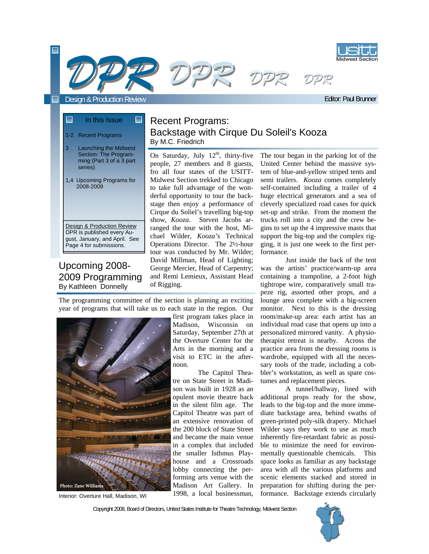



 $\blacksquare$ 

Editor: Paul Brunner

# In this Issue

## 1-2 Recent Programs

- 3 Launching the Midwest Section: The Programming (Part 3 of a 3 part
- 1,4 Upcoming Programs for 2008-2009

series)

۰

Design & Production Review DPR is published every August, January, and April. See Page 4 for submissions.

### Upcoming 2008- 2009 Programming By Kathleen Donnelly

## Recent Programs: Backstage with Cirque Du Soleil's Kooza By M.C. Friedrich

On Saturday, July  $12<sup>th</sup>$ , thirty-five people, 27 members and 8 guests, fro all four states of the USITT-Midwest Section trekked to Chicago to take full advantage of the wonderful opportunity to tour the backstage then enjoy a performance of Cirque du Soliel's travelling big-top show, *Kooza*. Steven Jacobs arranged the tour with the host, Michael Wilder, *Kooza's* Technical Operations Director. The 2½-hour tour was conducted by Mr. Wilder; David Millman, Head of Lighting; George Mercier, Head of Carpentry; and Remi Lemieux, Assistant Head of Rigging.

The tour began in the parking lot of the United Center behind the massive system of blue-and-yellow striped tents and semi trailers. *Kooza* comes completely self-contained including a trailer of 4 huge electrical generators and a sea of cleverly specialized road cases for quick set-up and strike. From the moment the trucks roll into a city and the crew begins to set up the 4 impressive masts that support the big-top and the complex rigging, it is just one week to the first performance.

 Just inside the back of the tent was the artists' practice/warm-up area containing a trampoline, a 2-foot high tightrope wire, comparatively small trapeze rig, assorted other props, and a lounge area complete with a big-screen monitor. Next to this is the dressing room/make-up area: each artist has an individual road case that opens up into a personalized mirrored vanity. A physiotherapist retreat is nearby. Across the practice area from the dressing rooms is wardrobe, equipped with all the necessary tools of the trade, including a cobbler's workstation, as well as spare costumes and replacement pieces.

 A tunnel/hallway, lined with additional props ready for the show, leads to the big-top and the more immediate backstage area, behind swaths of green-printed poly-silk drapery. Michael Wilder says they work to use as much inherently fire-retardant fabric as possible to minimize the need for environmentally questionable chemicals. This space looks as familiar as any backstage area with all the various platforms and scenic elements stacked and stored in preparation for shifting during the performance. Backstage extends circularly

The programming committee of the section is planning an exciting year of programs that will take us to each state in the region. Our



Interior: Overture Hall, Madison, WI

first program takes place in Madison, Wisconsin on Saturday, September 27th at the Overture Center for the Arts in the morning and a visit to ETC in the afternoon.

 The Capitol Theatre on State Street in Madison was built in 1928 as an opulent movie theatre back in the silent film age. The Capitol Theatre was part of an extensive renovation of the 200 block of State Street and became the main venue in a complex that included the smaller Isthmus Playhouse and a Crossroads lobby connecting the performing arts venue with the Madison Art Gallery. In 1998, a local businessman,

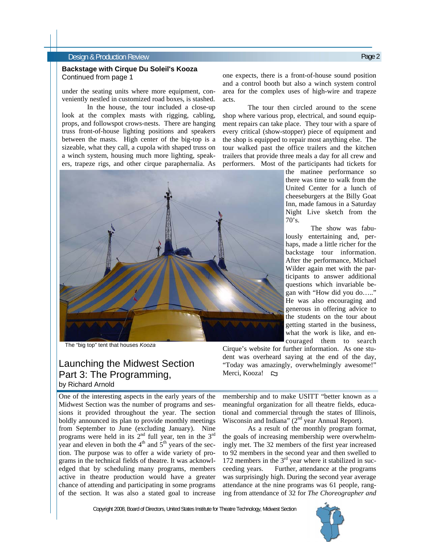#### Design & Production Review Page 2

#### **Backstage with Cirque Du Soleil's Kooza**  Continued from page 1

under the seating units where more equipment, conveniently nestled in customized road boxes, is stashed.

 In the house, the tour included a close-up look at the complex masts with rigging, cabling, props, and followspot crows-nests. There are hanging truss front-of-house lighting positions and speakers between the masts. High center of the big-top is a sizeable, what they call, a cupola with shaped truss on a winch system, housing much more lighting, speakers, trapeze rigs, and other cirque paraphernalia. As



The "big top" tent that houses *Kooza*

## Launching the Midwest Section Part 3: The Programming, by Richard Arnold

One of the interesting aspects in the early years of the Midwest Section was the number of programs and sessions it provided throughout the year. The section boldly announced its plan to provide monthly meetings from September to June (excluding January). Nine programs were held in its  $2<sup>nd</sup>$  full year, ten in the  $3<sup>rd</sup>$ year and eleven in both the  $4<sup>th</sup>$  and  $5<sup>th</sup>$  years of the section. The purpose was to offer a wide variety of programs in the technical fields of theatre. It was acknowledged that by scheduling many programs, members active in theatre production would have a greater chance of attending and participating in some programs of the section. It was also a stated goal to increase

one expects, there is a front-of-house sound position and a control booth but also a winch system control area for the complex uses of high-wire and trapeze acts.

 The tour then circled around to the scene shop where various prop, electrical, and sound equipment repairs can take place. They tour with a spare of every critical (show-stopper) piece of equipment and the shop is equipped to repair most anything else. The tour walked past the office trailers and the kitchen trailers that provide three meals a day for all crew and performers. Most of the participants had tickets for

the matinee performance so there was time to walk from the United Center for a lunch of cheeseburgers at the Billy Goat Inn, made famous in a Saturday Night Live sketch from the  $70's.$ 

 The show was fabulously entertaining and, perhaps, made a little richer for the backstage tour information. After the performance, Michael Wilder again met with the participants to answer additional questions which invariable began with "How did you do….." He was also encouraging and generous in offering advice to the students on the tour about getting started in the business, what the work is like, and encouraged them to search

Cirque's website for further information. As one student was overheard saying at the end of the day, "Today was amazingly, overwhelmingly awesome!" Merci, Kooza!

membership and to make USITT "better known as a meaningful organization for all theatre fields, educational and commercial through the states of Illinois, Wisconsin and Indiana" ( $2<sup>nd</sup>$  year Annual Report).

 As a result of the monthly program format, the goals of increasing membership were overwhelmingly met. The 32 members of the first year increased to 92 members in the second year and then swelled to 172 members in the  $3<sup>rd</sup>$  year where it stabilized in succeeding years. Further, attendance at the programs was surprisingly high. During the second year average attendance at the nine programs was 61 people, ranging from attendance of 32 for *The Choreographer and* 

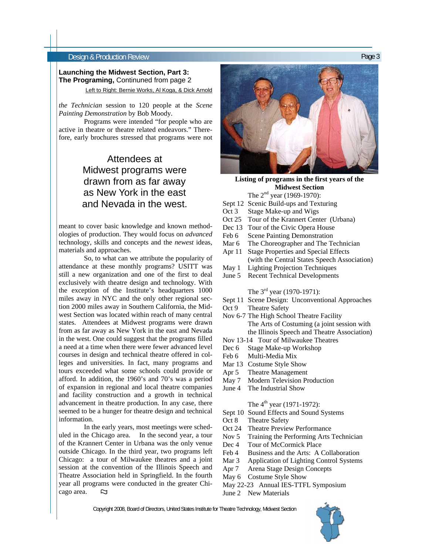#### Design & Production Review Page 3

#### Left to Right: Bernie Works, Al Koga, & Dick Arnold **Launching the Midwest Section, Part 3: The Programing,** Continuned from page 2

*the Technician* session to 120 people at the *Scene Painting Demonstration* by Bob Moody.

 Programs were intended "for people who are active in theatre or theatre related endeavors." Therefore, early brochures stressed that programs were not

## Attendees at Midwest programs were drawn from as far away as New York in the east and Nevada in the west.

meant to cover basic knowledge and known methodologies of production. They would focus on *advanced* technology, skills and concepts and the *newest* ideas, materials and approaches.

 So, to what can we attribute the popularity of attendance at these monthly programs? USITT was still a new organization and one of the first to deal exclusively with theatre design and technology. With the exception of the Institute's headquarters 1000 miles away in NYC and the only other regional section 2000 miles away in Southern California, the Midwest Section was located within reach of many central states. Attendees at Midwest programs were drawn from as far away as New York in the east and Nevada in the west. One could suggest that the programs filled a need at a time when there were fewer advanced level courses in design and technical theatre offered in colleges and universities. In fact, many programs and tours exceeded what some schools could provide or afford. In addition, the 1960's and 70's was a period of expansion in regional and local theatre companies and facility construction and a growth in technical advancement in theatre production. In any case, there seemed to be a hunger for theatre design and technical information.

 In the early years, most meetings were scheduled in the Chicago area. In the second year, a tour of the Krannert Center in Urbana was the only venue outside Chicago. In the third year, two programs left Chicago: a tour of Milwaukee theatres and a joint session at the convention of the Illinois Speech and Theatre Association held in Springfield. In the fourth year all programs were conducted in the greater Chicago area.  $\mathbb{Z}$ 



**Listing of programs in the first years of the Midwest Section**  The 2<sup>nd</sup> year (1969-1970):

- Sept 12 Scenic Build-ups and Texturing
- Oct 3 Stage Make-up and Wigs
- Oct 25 Tour of the Krannert Center (Urbana)
- Dec 13 Tour of the Civic Opera House
- Feb 6 Scene Painting Demonstration
- Mar 6 The Choreographer and The Technician
- Apr 11 Stage Properties and Special Effects (with the Central States Speech Association)
- May 1 Lighting Projection Techniques
- June 5 Recent Technical Developments

The 3<sup>rd</sup> year (1970-1971):

- Sept 11 Scene Design: Unconventional Approaches
- Oct 9 Theatre Safety
- Nov 6-7 The High School Theatre Facility The Arts of Costuming (a joint session with the Illinois Speech and Theatre Association)
- Nov 13-14 Tour of Milwaukee Theatres
- Dec 6 Stage Make-up Workshop
- Feb 6 Multi-Media Mix
- Mar 13 Costume Style Show
- Apr 5 Theatre Management
- May 7 Modern Television Production
- June 4 The Industrial Show

#### The  $4^{th}$  year (1971-1972):

- Sept 10 Sound Effects and Sound Systems
- Oct 8 Theatre Safety
- Oct 24 Theatre Preview Performance
- Nov 5 Training the Performing Arts Technician
- Dec 4 Tour of McCormick Place
- Feb 4 Business and the Arts: A Collaboration
- Mar 3 Application of Lighting Control Systems
- Apr 7 Arena Stage Design Concepts
- May 6 Costume Style Show
- May 22-23 Annual IES-TTFL Symposium
- June 2 New Materials